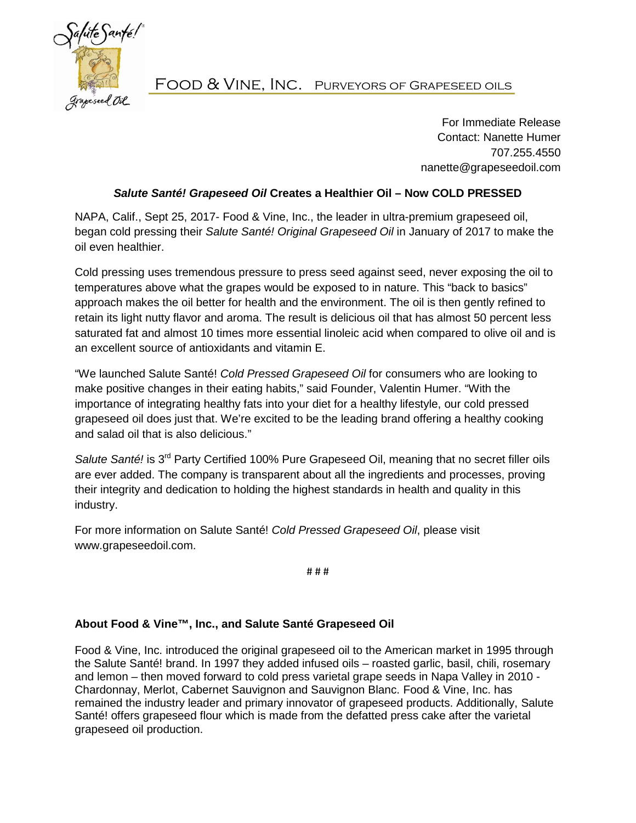

## Food & Vine, Inc. Purveyors of Grapeseed oils

For Immediate Release Contact: Nanette Humer 707.255.4550 nanette@grapeseedoil.com

## *Salute Santé! Grapeseed Oil* **Creates a Healthier Oil – Now COLD PRESSED**

NAPA, Calif., Sept 25, 2017- Food & Vine, Inc., the leader in ultra-premium grapeseed oil, began cold pressing their *Salute Santé! Original Grapeseed Oil* in January of 2017 to make the oil even healthier.

Cold pressing uses tremendous pressure to press seed against seed, never exposing the oil to temperatures above what the grapes would be exposed to in nature. This "back to basics" approach makes the oil better for health and the environment. The oil is then gently refined to retain its light nutty flavor and aroma. The result is delicious oil that has almost 50 percent less saturated fat and almost 10 times more essential linoleic acid when compared to olive oil and is an excellent source of antioxidants and vitamin E.

"We launched Salute Santé! *Cold Pressed Grapeseed Oil* for consumers who are looking to make positive changes in their eating habits," said Founder, Valentin Humer. "With the importance of integrating healthy fats into your diet for a healthy lifestyle, our cold pressed grapeseed oil does just that. We're excited to be the leading brand offering a healthy cooking and salad oil that is also delicious."

Salute Santé! is 3<sup>rd</sup> Party Certified 100% Pure Grapeseed Oil, meaning that no secret filler oils are ever added. The company is transparent about all the ingredients and processes, proving their integrity and dedication to holding the highest standards in health and quality in this industry.

For more information on Salute Santé! *Cold Pressed Grapeseed Oil*, please visit www.grapeseedoil.com.

# # #

## **About Food & Vine™, Inc., and Salute Santé Grapeseed Oil**

Food & Vine, Inc. introduced the original grapeseed oil to the American market in 1995 through the Salute Santé! brand. In 1997 they added infused oils – roasted garlic, basil, chili, rosemary and lemon – then moved forward to cold press varietal grape seeds in Napa Valley in 2010 - Chardonnay, Merlot, Cabernet Sauvignon and Sauvignon Blanc. Food & Vine, Inc. has remained the industry leader and primary innovator of grapeseed products. Additionally, Salute Santé! offers grapeseed flour which is made from the defatted press cake after the varietal grapeseed oil production.